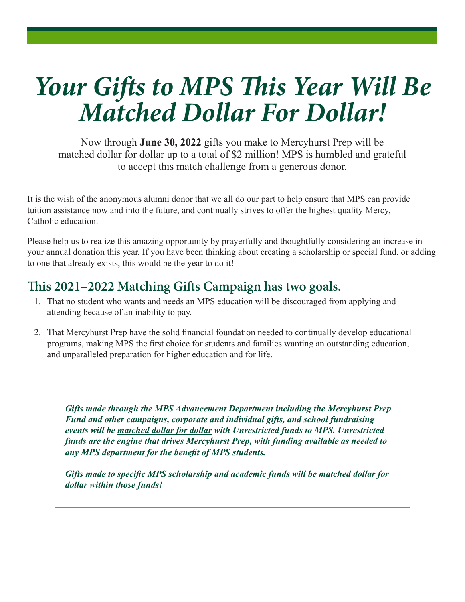# *Your Gifts to MPS This Year Will Be Matched Dollar For Dollar!*

Now through **June 30, 2022** gifts you make to Mercyhurst Prep will be matched dollar for dollar up to a total of \$2 million! MPS is humbled and grateful to accept this match challenge from a generous donor.

It is the wish of the anonymous alumni donor that we all do our part to help ensure that MPS can provide tuition assistance now and into the future, and continually strives to offer the highest quality Mercy, Catholic education.

Please help us to realize this amazing opportunity by prayerfully and thoughtfully considering an increase in your annual donation this year. If you have been thinking about creating a scholarship or special fund, or adding to one that already exists, this would be the year to do it!

#### **This 2021–2022 Matching Gifts Campaign has two goals.**

- 1. That no student who wants and needs an MPS education will be discouraged from applying and attending because of an inability to pay.
- 2. That Mercyhurst Prep have the solid financial foundation needed to continually develop educational programs, making MPS the first choice for students and families wanting an outstanding education, and unparalleled preparation for higher education and for life.

*Gifts made through the MPS Advancement Department including the Mercyhurst Prep Fund and other campaigns, corporate and individual gifts, and school fundraising events will be matched dollar for dollar with Unrestricted funds to MPS. Unrestricted funds are the engine that drives Mercyhurst Prep, with funding available as needed to any MPS department for the benefit of MPS students.*

*Gifts made to specific MPS scholarship and academic funds will be matched dollar for dollar within those funds!*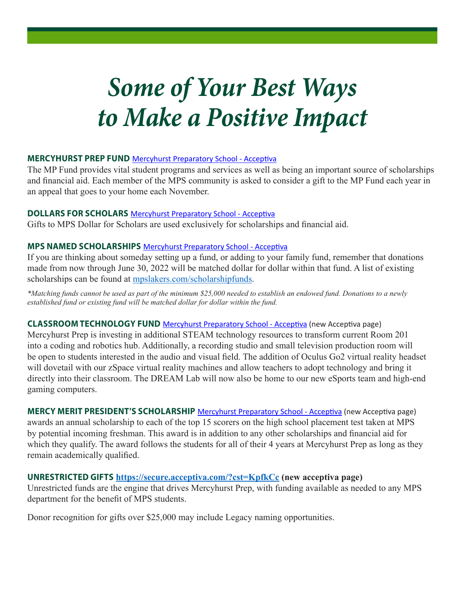## *Some of Your Best Ways to Make a Positive Impact*

#### **MERCYHURST PREP FUND** Mercyhurst Preparatory School - Acceptiva

The MP Fund provides vital student programs and services as well as being an important source of scholarships and financial aid. Each member of the MPS community is asked to consider a gift to the MP Fund each year in an appeal that goes to your home each November.

#### **DOLLARS FOR SCHOLARS** Mercyhurst Preparatory School - Acceptiva

Gifts to MPS Dollar for Scholars are used exclusively for scholarships and financial aid.

#### **MPS NAMED SCHOLARSHIPS** Mercyhurst Preparatory School - Acceptiva

If you are thinking about someday setting up a fund, or adding to your family fund, remember that donations made from now through June 30, 2022 will be matched dollar for dollar within that fund. A list of existing scholarships can be found at mpslakers.com/scholarshipfunds.

*\*Matching funds cannot be used as part of the minimum \$25,000 needed to establish an endowed fund. Donations to a newly established fund or existing fund will be matched dollar for dollar within the fund.*

#### **CLASSROOM TECHNOLOGY FUND** Mercyhurst Preparatory School - Acceptiva (new Acceptiva page)

Mercyhurst Prep is investing in additional STEAM technology resources to transform current Room 201 into a coding and robotics hub. Additionally, a recording studio and small television production room will be open to students interested in the audio and visual field. The addition of Oculus Go2 virtual reality headset will dovetail with our zSpace virtual reality machines and allow teachers to adopt technology and bring it directly into their classroom. The DREAM Lab will now also be home to our new eSports team and high-end gaming computers.

**MERCY MERIT PRESIDENT'S SCHOLARSHIP** Mercyhurst Preparatory School - Acceptiva (new Acceptiva page) awards an annual scholarship to each of the top 15 scorers on the high school placement test taken at MPS by potential incoming freshman. This award is in addition to any other scholarships and financial aid for which they qualify. The award follows the students for all of their 4 years at Mercyhurst Prep as long as they remain academically qualified.

#### **UNRESTRICTED GIFTS https://secure.acceptiva.com/?cst=KpfkCc (new acceptiva page)**

Unrestricted funds are the engine that drives Mercyhurst Prep, with funding available as needed to any MPS department for the benefit of MPS students.

Donor recognition for gifts over \$25,000 may include Legacy naming opportunities.